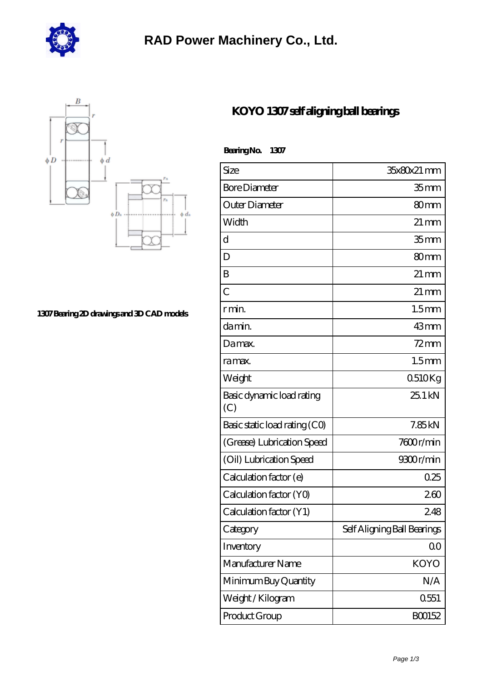

## **[RAD Power Machinery Co., Ltd.](https://m.akhog.com)**



**[1307 Bearing 2D drawings and 3D CAD models](https://m.akhog.com/pic-94157.html)**

## **[KOYO 1307 self aligning ball bearings](https://m.akhog.com/al-94157-koyo-1307-self-aligning-ball-bearings.html)**

 **Bearing No. 1307**

| Size                             | 35x80x21 mm                 |
|----------------------------------|-----------------------------|
| <b>Bore Diameter</b>             | 35 <sub>mm</sub>            |
| Outer Diameter                   | 80 <sub>mm</sub>            |
| Width                            | $21 \,\mathrm{mm}$          |
| $\mathbf d$                      | 35 <sub>mm</sub>            |
| D                                | 80 <sub>mm</sub>            |
| B                                | $21 \,\mathrm{mm}$          |
| $\overline{C}$                   | $21 \,\mathrm{mm}$          |
| r min.                           | 1.5 <sub>mm</sub>           |
| damin.                           | $43$ mm                     |
| Damax.                           | $72$ mm                     |
| ra max.                          | 1.5 <sub>mm</sub>           |
| Weight                           | 0510Kg                      |
| Basic dynamic load rating<br>(C) | 251kN                       |
| Basic static load rating (CO)    | 7.85kN                      |
| (Grease) Lubrication Speed       | 7600r/min                   |
| (Oil) Lubrication Speed          | 9300r/min                   |
| Calculation factor (e)           | 0.25                        |
| Calculation factor (YO)          | 260                         |
| Calculation factor (Y1)          | 248                         |
| Category                         | Self Aligning Ball Bearings |
| Inventory                        | 00                          |
| Manufacturer Name                | <b>KOYO</b>                 |
| Minimum Buy Quantity             | N/A                         |
| Weight / Kilogram                | 0551                        |
| Product Group                    | BO0152                      |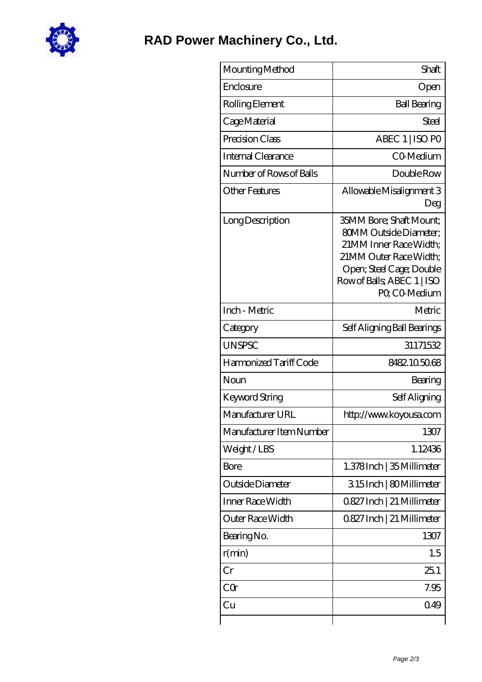

| Mounting Method          | Shaft                                                                                                                                                                                  |
|--------------------------|----------------------------------------------------------------------------------------------------------------------------------------------------------------------------------------|
| Enclosure                | Open                                                                                                                                                                                   |
| Rolling Element          | <b>Ball Bearing</b>                                                                                                                                                                    |
| Cage Material            | <b>Steel</b>                                                                                                                                                                           |
| Precision Class          | ABEC 1   ISO PO                                                                                                                                                                        |
| Internal Clearance       | CO-Medium                                                                                                                                                                              |
| Number of Rows of Balls  | Double Row                                                                                                                                                                             |
| <b>Other Features</b>    | Allowable Misalignment 3<br>Deg                                                                                                                                                        |
| Long Description         | 35MM Bore; Shaft Mount;<br><b>80MM Outside Diameter:</b><br>21MM Inner Race Width;<br>21MM Outer Race Width;<br>Open; Steel Cage; Double<br>Row of Balls, ABEC 1   ISO<br>PQ CO-Medium |
| Inch - Metric            | Metric                                                                                                                                                                                 |
| Category                 | Self Aligning Ball Bearings                                                                                                                                                            |
| <b>UNSPSC</b>            | 31171532                                                                                                                                                                               |
| Harmonized Tariff Code   | 8482105068                                                                                                                                                                             |
| Noun                     | Bearing                                                                                                                                                                                |
| Keyword String           | Self Aligning                                                                                                                                                                          |
| Manufacturer URL         | http://www.koyousa.com                                                                                                                                                                 |
| Manufacturer Item Number | 1307                                                                                                                                                                                   |
| Weight/LBS               | 1.12436                                                                                                                                                                                |
| <b>Bore</b>              | 1.378Inch   35 Millimeter                                                                                                                                                              |
| Outside Diameter         | 315Inch   80Millimeter                                                                                                                                                                 |
| Inner Race Width         | 0.827 Inch   21 Millimeter                                                                                                                                                             |
| Outer Race Width         | 0827 Inch   21 Millimeter                                                                                                                                                              |
| Bearing No.              | 1307                                                                                                                                                                                   |
| r(min)                   | 1.5                                                                                                                                                                                    |
| Cr                       | 251                                                                                                                                                                                    |
| CQr                      | 7.95                                                                                                                                                                                   |
| Cu                       | 049                                                                                                                                                                                    |
|                          |                                                                                                                                                                                        |